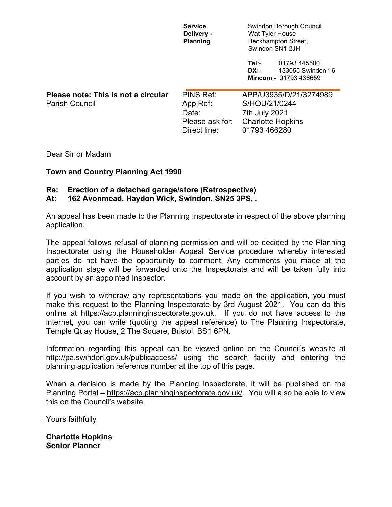|                                     | <b>Service</b><br>Delivery -<br><b>Planning</b> | Swindon Borough Council<br>Wat Tyler House<br>Beckhampton Street,<br>Swindon SN1 2JH |
|-------------------------------------|-------------------------------------------------|--------------------------------------------------------------------------------------|
|                                     |                                                 | Tel:-<br>01793 445500<br>DX:-<br>133055 Swindon 16<br>Mincom:- 01793 436659          |
| Please note: This is not a circular | PINS Ref:                                       | APP/U3935/D/21/3274989                                                               |
| <b>Parish Council</b>               | App Ref:                                        | S/HOU/21/0244                                                                        |
|                                     | Date:                                           | 7th July 2021                                                                        |
|                                     | Please ask for:                                 | <b>Charlotte Hopkins</b>                                                             |
|                                     | Direct line:                                    | 01793 466280                                                                         |

Dear Sir or Madam

## **Town and Country Planning Act 1990**

## **Re: Erection of a detached garage/store (Retrospective)**

## **At: 162 Avonmead, Haydon Wick, Swindon, SN25 3PS, ,**

An appeal has been made to the Planning Inspectorate in respect of the above planning application.

The appeal follows refusal of planning permission and will be decided by the Planning Inspectorate using the Householder Appeal Service procedure whereby interested parties do not have the opportunity to comment. Any comments you made at the application stage will be forwarded onto the Inspectorate and will be taken fully into account by an appointed Inspector.

If you wish to withdraw any representations you made on the application, you must make this request to the Planning Inspectorate by 3rd August 2021. You can do this online at [https://acp.planninginspectorate.gov.uk.](https://acp.planninginspectorate.gov.uk/) If you do not have access to the internet, you can write (quoting the appeal reference) to The Planning Inspectorate, Temple Quay House, 2 The Square, Bristol, BS1 6PN.

Information regarding this appeal can be viewed online on the Council's website at <http://pa.swindon.gov.uk/publicaccess/> using the search facility and entering the planning application reference number at the top of this page.

When a decision is made by the Planning Inspectorate, it will be published on the Planning Portal – [https://acp.planninginspectorate.gov.uk/.](https://acp.planninginspectorate.gov.uk/) You will also be able to view this on the Council's website.

Yours faithfully

**Charlotte Hopkins Senior Planner**